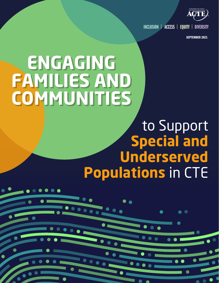

 $INCLUSION$  |  $ACCESS$  |  $EQUITY$ 

SEPTEMBER 2021

# **ENGAGING FAMILIES AND COMMUNITIES**

 $\bullet$ 

## to Support **Special and Underserved Populations** in CTE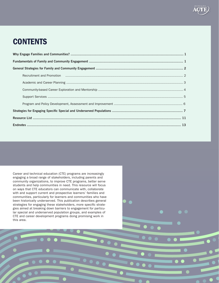## **CONTENTS**

ii

Career and technical education (CTE) programs are increasingly engaging a broad range of stakeholders, including parents and community organizations, to improve CTE programs, better serve students and help communities in need. This resource will focus on ways that CTE educators can communicate with, collaborate with and support current and prospective learners' families and communities, particularly for learners and communities who have been historically underserved. This publication describes general strategies for engaging these stakeholders, more specific strategies aimed at breaking down barriers to engagement for particular special and underserved population groups, and examples of CTE and career development programs doing promising work in this area.

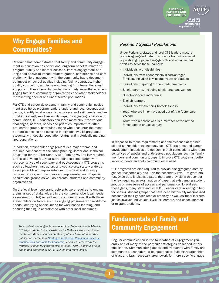**COMMUNITIES** to Support **Special and Underserved Populations** in CTE

**ENGAGING FAMILIES AND** 

## Why Engage Families and Communities?

Research has demonstrated that family and community engagement in education has short- and long-term benefits related to program quality and learner success. Parent engagement has long been shown to impact student grades, persistence and completion, while engagement with the community has a documented impact on school quality, including facility upgrades, higher quality curriculum, and increased funding for interventions and supports.<sup>1</sup> These benefits can be particularly impactful when engaging families, community organizations and other stakeholders representing special and underserved populations.

For CTE and career development, family and community involvement also helps program leaders understand local occupational trends; identify local economic, workforce and skill needs; and most importantly — close equity gaps. By engaging families and communities, CTE educators can learn more about the various challenges, barriers, needs and priorities important to different learner groups, particularly those who encounter the most barriers to access and success in high-quality CTE programs: students with special population status and historically marginalized populations.

In addition, stakeholder engagement is a major theme and required component of the Strengthening Career and Technical Education for the 21st Century Act (Perkins V). The law required states to develop four-year state plans in consultation with representatives of secondary and postsecondary CTE programs such as teachers, instructors and counselors; state workforce development board representatives; business and industry representatives; and members and representatives of special populations groups as well as parents, students and community organizations.

On the local level, sub-grant recipients were required to engage a similar set of stakeholders in the comprehensive local needs assessment (CLNA) as well as to continually consult with these stakeholders on topics such as aligning programs with workforce needs, identifying opportunities for work-based learning, and ensuring funding is coordinated with other local resources.

*This content was originally developed in collaboration with Advance CTE to provide technical assistance for Perkins V state plan implementation. Many resources created by others have informed this publication, particularly [Strategies for Special Population Success:](https://napequity.org/download-our-strategies-for-special-population-success-resource/)  [Practical Tips and Tools for Educators](https://napequity.org/download-our-strategies-for-special-population-success-resource/), which was created by the National Alliance for Partnerships in Equity (NAPE) Education Foundation and authored by NAPE CEO Emerita Mimi Lufkin.*

#### *Perkins V Special Populations*

Under Perkins V, states and local CTE leaders must report disaggregated data on students from nine special population groups and engage with and enhance their efforts to serve these learners:

- Individuals with disabilities
- Individuals from economically disadvantaged families, including low-income youth and adults
- Individuals preparing for non-traditional fields
- Single parents, including single pregnant women
- Out-of-workforce individuals
- English learners
- Individuals experiencing homelessness
- Youth who are in, or have aged out of, the foster care system
- Youth with a parent who is a member of the armed forces and is on active duty

In response to these requirements and the evidence of the benefits of stakeholder engagement, local CTE programs and career development initiatives are deepening their connections with representatives of special and underserved populations such as family members and community groups to improve CTE programs, better serve students and help communities in need.

CTE programs are also required to provide disaggregated data by gender, race/ethnicity and – on the secondary level – migrant status. Once data is disaggregated, there are provisions throughout the law requiring an examination of gaps that exist among student groups on measures of access and performance. To address these gaps, many state and local CTE leaders are investing in better serving student groups that have been historically marginalized because of their gender, race or ethnicity as well as Tribal learners, justice-involved individuals, LGBTQ+ learners, and undocumented or migrant students.

## Fundamentals of Family and Community Engagement

1

Regular communication is the foundation of engagement generally and of many of the particular strategies described in this publication. Communicating openly and frequently with family and community stakeholders is foundational to building relationships of trust and lays necessary groundwork for more specific engage-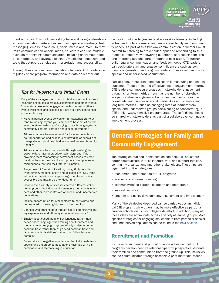

to Support **Special and Underserved Populations** in CTE

**ENGAGING FAMILIES AND COMMUNITIES**

ment activities. This includes asking for – and using – stakeholder communication preferences such as in-person meetings, text messaging, emails, phone calls, social media and more. To maximize communication opportunities, educators can use multiple avenues for ongoing communication, including anonymous feedback methods, and leverage bilingual/multilingual speakers and tools that support translation, interpretation and accessibility.

Through these various communication channels, CTE leaders can regularly share program information and data on learner out-

#### *Tips for In-person and Virtual Events*

Many of the strategies described in this document utilize meetings, workshops, focus groups, celebrations and other events. Successful stakeholder engagement relies on making these events welcoming and accessible. Here are a few tips to help you when hosting:

- Make in-person events convenient for stakeholders to attend by looking beyond your campus to host activities wherever the stakeholders you're trying to reach congregate: at community centers, libraries and places of worship.2
- Address barriers to engagement for in-person events such as transportation and childcare by providing or subsidizing transportation, providing childcare or making events family friendly.3
- Address barriers to virtual events through verifying that stakeholders have appropriate technology and, if not, providing them temporary or permanent access to broadband, laptops, or devices like computers, headphones or microphones that can facilitate participation.
- Regardless of format or location, thoughtfully consider event timing, meeting length and accessibility (e.g., translation, interpretation and captioning) to make activities accessible and maximize attendees' time.
- Incorporate a variety of speakers across different stakeholder groups, including family members, community members and other representatives of special and underserved populations.
- Include opportunities for stakeholders to participate and be prepared to meaningfully respond to their input.
- Connect with stakeholders through active listening, validating experiences and affirming emotional reactions.4
- Employ asset-based, people-first language rather than deficit-based language when talking about learners and their communities (e.g., "systematically under-resourced communities" rather than "high-need communities" and "students with disabilities" rather than "disabled students").5
- Be sensitive to negative experiences that individuals from special and underserved populations have had with discrimination and stereotyping in education.

comes in multiple languages and accessible formats, including virtual and mobile formats, and learn about family and community needs. As part of this two-way communication, educators must commit to listening to stakeholder input and responding to this feedback honestly by answering questions, addressing concerns and informing stakeholders of potential next steps. To further build regular communication and feedback loops, CTE leaders can designate staff and engage key influencers such as community organization and religious leaders to serve as liaisons to special and underserved populations.

Part of open, transparent communication is measuring and sharing outcomes. To determine the effectiveness of engagement efforts, CTE leaders can measure progress in stakeholder engagement through short-term metrics – such as the number of stakeholders participating in engagement activities, number of resource downloads, and number of social media likes and shares – and long-term metrics – such as changing rates of learners from special and underserved groups participating or concentrating in CTE in high-wage, high-skill program areas. These findings should be shared with stakeholders as part of a collaborative, continuous improvement process.

## General Strategies for Family and Community Engagement

The strategies outlined in this section can help CTE educators better communicate with, collaborate with, and support families, community organizations and other stakeholders. These tips are organized into five categories:

- recruitment and promotion of CTE programs
- academic and career planning
- community-based career exploration and mentorship
- support services

2

• program and policy development, assessment and improvement

Many of the strategies described can be carried out by an individual CTE program, while others may be more effective as part of a broader school-, district- or college-wide effort. In addition, many of these ideas are appropriate across a variety of learner groups. More specific strategies for engaging stakeholders from particular special and underserved populations can be found in the [next section](#page-8-0).

#### Recruitment and Promotion

Inclusive recruitment and promotion approaches can help CTE programs develop positive relationships with prospective students, their families and communities from the ground up. This inclusivity can be communicated through accessible print materials, videos,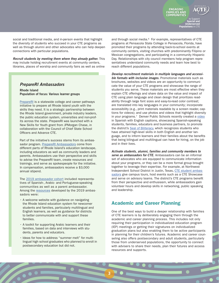

to Support **Special and Underserved Populations** in CTE

**ENGAGING** 

**COMMUNITIES**

social and traditional media, and in-person events that highlight the diversity of students who succeed in your CTE programs as well as through alumni and other advocates who can help deepen connections with particular populations.

*Recruit students by meeting them where they already gather.* This may include holding recruitment events at community centers, libraries, places of worship and community fairs as well as online

#### *PrepareRI Ambassadors*

Rhode Island Population of focus: Various learner groups

[PrepareRI](https://www.prepare-ri.org/) is a statewide college and career pathways initiative to prepare all Rhode Island youth with the skills they need. It is a strategic partnership between the Rhode Island government, private industry leaders, the public education system, universities and non-profits across the state. PrepareRI was launched with a New Skills for Youth grant from JPMorgan Chase, in collaboration with the Council of Chief State School Officers and Advance CTE.

Part of the initiative's success stems from its ambassador program. [PrepareRI Ambassadors](https://www.prepare-ri.org/ambassadors) come from different parts of Rhode Island's education landscape, including educators as well as community leaders and parents. Ambassadors use their perspective and skills to advise the PrepareRI team, create resources and trainings, and serve as spokespeople for the initiative. In compensation, ambassadors receive a \$3,000 annual stipend.

The [2019 ambassador cohort](https://www.ride.ri.gov/InsideRIDE/AdditionalInformation/News/ViewArticle/tabid/408/ArticleId/591/RIDE-Announces-2019-PrepareRI-Ambassadors.aspx) included representatives of Spanish-, Arabic- and Portuguese-speaking communities as well as a parent ambassador. Among the [resources](https://static1.squarespace.com/static/59a81489579fb39e3ef2232f/t/5ee2181056a12e76f7856eb6/1591875601296/2019-20+Ambassador+Projects+Summary.pdf) developed by the 2019 ambassadors were:

- A welcome website with guidance on navigating the Rhode Island education system for newcomer students and families, particularly multilingual and English learners, as well as guidance for districts to better communicate with and support these families.
- A toolkit for supporting Arabic learners and their families, based on data and interviews with students, parents and educators.
- Ideas for how to address "summer melt" for multilingual high school graduates who planned to enroll in postsecondary education but did not.

and through social media.<sup>6</sup> For example, representatives of CTE programs at Pensacola State College in Pensacola, Florida, have promoted their programs by attending back-to-school events at community centers, visiting churches with predominantly Filipino or Mexican congregations, and participating in a community Hispanic Day. Relationships with city council members help program representatives understand community needs and learn how best to reach different populations.

*Develop recruitment materials in multiple languages and accessible formats with inclusive images.* Promotional materials such as brochures, websites and videos are an opportunity to communicate the value of your CTE programs and showcase the range of students you serve. These materials are most effective when they explain CTE offerings and share data on the value and impact of CTE using plain language and clean design that prioritizes readability through large font sizes and easy-to-read color contrast; are translated into key languages in your community; incorporate accessibility (e.g., print materials readable by a screen reader, captions for videos); and use photos and videos that highlight diversity in your programs.<sup>7</sup> Denver Public Schools recently created a [video](https://vimeo.com/393168169) in Spanish with English captions, showcasing Spanish-speaking students, families, educators and business partners, to promote the district's [Seal of Biliteracy](http://ela.dpsk12.org/about-the-seal-of-biliteracy/), which recognizes students who have attained high-level skills in both English and another language, and to inform learners and their families about the benefits that being bilingual and multilingual can have for hiring, on the job and in their lives.

*Activate students, alumni, families and community members to serve as ambassadors for CTE.* Ambassadors can be an informal set of advocates who are equipped to communicate information about your programs, or they can be a more formal group brought together to leverage their expertise. For example, at Northwest Independent School District in Justin, Texas, [CTE student ambas](https://www.nisdtx.org/departments/cte__career___technical_education_/ambassadors)[sadors](https://www.nisdtx.org/departments/cte__career___technical_education_/ambassadors) give campus tours, host events such as a CTE Showcase and serve on advisory teams. The district's CTE programs benefit from their perspective and enthusiasm, while ambassadors gain volunteer hours and develop skills in networking, public speaking and leadership.

#### Academic and Career Planning

One of the best ways to build a deeper relationship with families of CTE learners is by deliberately engaging them through the academic and career planning process. This includes not only requiring their participation in individualized education program (IEP) meetings or getting their signatures on individualized graduation plans but also enabling them to be active participants in planning for their children's futures. Academic and career counseling also offers postsecondary and adult students, particularly those from underserved populations, the opportunity to connect with advisers to share their needs, plan their futures and access resources and supports.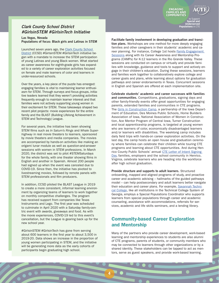#### *Clark County School District #GirlsinSTEM #GirlsinTech Initiative*

Las Vegas, Nevada Populations of focus: Black girls and Latinas in STEM

Launched seven years ago, the Clark County School [District](https://www.ccsd.net/departments/career-technical-education/) (CCSD) #GirlsinSTEM #GirlsinTech initiative began with a mandate to increase the STEM participation of young Latinas and young Black women. What started as career awareness for eighth-grade girls has expanded to a variety of career exploration activities focused on female and male learners of color and learners in under-resourced schools.

Over the years, a key piece of the puzzle has emerged: engaging families is vital to maintaining learner enthusiasm for STEM. Through surveys and focus groups, initiative leaders learned that they weren't providing activities frequently enough to maintain learner interest and that families were not actively supporting young women in their excitement for STEM. These takeaways shaped two recent pilot projects: movie experiences for the entire family and the BLAST (Building Lifelong Achievement in STEM and Technology) League.

For several years, the initiative has been showing STEM films such as *In Saturn's Rings* and *Whale Superhighway* in real movie theaters to learners, sponsored by movie theaters and media companies. The movies are accompanied by hands-on activities like making an origami lunar module as well as question-and-answer sessions with women in STEM professions. In March 2020, the district was set to pilot #STEMSaturdays for the whole family, with one theater showing films in English and another in Spanish. Almost 200 people had signed up when the event was canceled due to COVID-19. Since then, the initiative has pivoted to livestreaming movies, followed by remote panels with STEM professionals and film producers.

In addition, CCSD piloted the BLAST League in 2019 to create a more consistent, informal learning environment by organizing teams of learners to work together on monthly competitive challenges. The program has received support from companies like Texas Instruments and Lego. The first year was scheduled to culminate in April 2020 with a Saturday family-centric event with awards, giveaways and food. As with the movie experiences, COVID-19 led to this event's cancellation, but the League is gearing back up for the new school year.

#GirlsinSTEM #GirlsinTech has gone from serving about 600 learners in the first year to about 3,500 in 2019-20. Data shows an increase in the proportion of young women participating in STEM, and the initiative will be generating more data as the early cohorts of participants begin graduating high school.

Facilitate family involvement in developing graduation and transition plans. Workshops are one method for more deeply engaging families and other caregivers in their students' academic and career planning. For instance, College 1st hosts Family Engagement [Sessions](https://www.college1st.org/family-sessions) along with its Career Awareness and Mentorship Programs (CAMPs) for K-12 learners in the Rio Grande Valley. These sessions are conducted on campus or virtually and provide families with knowledge, guidance and tools to support and actively engage in their children's education. During these sessions, learners and families work together to collaboratively explore college and career goals and plans, while learning about options for graduation pathways and career endorsements in Texas. Concurrent sessions in English and Spanish are offered at each implementation site.

**ENGAGING FAMILIES AND COMMUNITIES**

> to Support **Special and Underserved Populations** in CTE

Celebrate students' academic and career successes with families and communities. Competitions, graduations, signing days and other family-friendly events offer great opportunities for engaging parents, extended families and communities in CTE programs. The [Girls in Construction Camp](https://educateiowa.gov/article/2019/09/17/girl-power-full-force-summer-construction-camp), a partnership of the Iowa Department of Education, Des Moines Public Schools, Home Builders Association of Iowa, National Association of Women in Construction, Ace Mentor Program of Central Iowa, Turner Construction and local apprenticeship programs, is targeted at young women who are learners of color, economically disadvantaged learners and/or learners with disabilities. The weeklong camp includes daily field trips with hands-on career exploration activities. On the last day, the camp hosts an open house and graduation ceremony where families can celebrate their children while touring CTE programs and learning about CTE opportunities. And during Henrico County Public Schools' annual CTE Letter of Intent Signing [Day,](https://henricocte.com/about/letter-of-intent-signing-day/#:~:text=The%20purpose%20of%20the%20CTE,the%20college%20of%20their%20choice.) families, employers and the school community in Henrico, Virginia, celebrate learners who are heading into the workforce after high school graduation.

Provide structure and supports to adult learners. Structured onboarding, mapped and aligned programs of study, and proactive career and academic advising – hallmarks of the guided pathways model – can help postsecondary and adult learners better navigate their education and career plans. For example, [Savannah Techni](https://www.savannahtech.edu/student-affairs/student-support-services/special-populations/)[cal College](https://www.savannahtech.edu/student-affairs/student-support-services/special-populations/), like all institutions in the Technical College System of Georgia, employs a Special Populations Coordinator who supports learners from special populations through career and academic counseling, assistance with accommodations, referrals for services, academic and life skills seminars, and a lending library.

#### Community-based Career Exploration and Mentorship

4

Many of the partners who provide career development, work-based learning and mentorship experiences to students are also alumni of CTE programs, parents of students, or community members who may be connected to learners through other organizations or by a shared identity. These stakeholders can be tapped to act as mentors, serve as guest speakers, and provide work-based learning.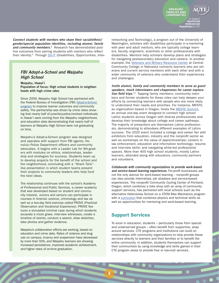*Connect students with mentors who share their racial/ethnic/ gender/special population identities, including alumni, family*  and community members.<sup>8</sup> Research has demonstrated positive outcomes from pairing students with mentors who reflect their identity.<sup>9</sup> Through **[DO-IT](https://www.washington.edu/doit/do-its-e-mentoring-community)** (Disabilities, Opportunities, Inter-

#### *FBI Adopt-a-School and Waipahu High School*

Waipahu, Hawai'i Population of focus: High school students in neighborhoods with high crime rates

Since 2009, Waipahu High School has partnered with the Federal Bureau of Investigation (FBI) Adopt-a-School [program](https://www.fbi.gov/news/stories/fbi-honolulu-adopt-a-school-program) to improve learner outcomes and community safety. The partnership was driven by crime rates showing that nearly half of juvenile-justice-involved individuals in Hawai'i were coming from the Waipahu neighborhood, and education data demonstrating that nearly half of learners at Waipahu High School were not graduating on time.

Waipahu's Adopt-a-School program was designed and operates with support from FBI agents, Honolulu Police Department officers and community advocates. It begins with a Leader Lab for 9th-graders with modules on ethics, relationships, leadership and strategies for success. Students team up to develop projects for the benefit of the school and the neighborhood, concluding with a "Shark Tank" like presentation in which student teams present their projects to community leaders who help fund the best ideas.

The relationship continues with the school's Academy of Professional and Public Services, a career academy that was developed based on student and community interest. Juniors and seniors can participate in courses in forensic science, criminology and law as well as a two-day field exercise called PROVE (Practical Observation and Vocational Experience). PROVE features a simulated criminal case during which students excavate a mock grave, interview witnesses, create a timeline of events, conduct a search, draw sketches, take photos and gather evidence.

Waipahu's collaboration efforts are working, based on education and crime data. Rates of violence and drug use on campus, truancy and suspension have decreased by more than 50%, and Waipahu learners are showing increased persistence, improved academic achievement, and higher rates of on-time graduation.

networking and Technology), a program out of the University of Washington, scholars with disabilities participate in e-mentoring with peer and adult mentors, who are typically college learners, faculty, engineers, scientists or other professionals with disabilities. Mentors help scholars develop plans and strategies for navigating postsecondary education and careers. In another example, the [Veterans and Military Resource Center](https://www.cccneb.edu/veterans) at Central Community College in Nebraska connects learners who are veterans and current service members with each other and with a wider community of veterans who understand their experiences and challenges.

**ENGAGING FAMILIES AND COMMUNITIES**

> to Support **Special and Underserved Populations** in CTE

*Invite alumni, family and community members to serve as guest speakers, mock interviewers and chaperones for career exploration field trips.*10 Tapping family members, community members and former students for these roles can help deepen your efforts by connecting learners with people who are more likely to understand their needs and priorities. For instance, MENTE, an organization based in Oregon, hosts the **MENTE Summit**, an annual one-day event designed to connect high school Latino students across Oregon with diverse professionals and develop their knowledge about college and career pathways. The majority of presenters are themselves Latino professionals, demonstrating to attendees different examples of Latino success. The 2020 event included a college and career fair with exhibitors from education, industry and the nonprofit sector as well as workshops on the value of apprenticeships; careers in law enforcement, education and information technology; resume and interview skills; and navigating white-led professional spaces. More than 400 high school students, mostly Latino learners, attended along with educators, community partners and volunteers.

*Collaborate with community organizations to provide work-based and service-based learning experiences.* For-profit businesses are not the only avenue for work-based learning – nonprofit groups can also provide internships, job shadows and service-based experiences. The nonprofit Community Cycling Center of Portland, Oregon, which combines a bike shop with an array of community support services, has partnered with local schools such as the alternative Helensview School on a STEM Bike Mechanics program with a [curriculum](https://communitycyclingcenter.org/science-on-wheels-at-helensview-school/) that combines physics and technical skills as well as opportunities for mentoring and work-based learning.

#### Support Services

To excel in education, students – particularly those from special and underserved groups – often benefit from supportive, wraparound services. CTE programs and institutions can build on relationships with community organizations to help provide these services directly to learners and their families or to benefit the entire community. In addition, students themselves can support their communities by using knowledge and skills gained in their CTE program areas to provide free or low-cost services.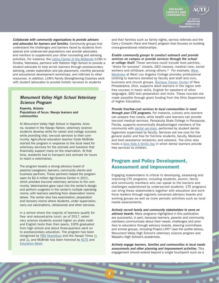**COMMUNITIES** to Support **Special and Underserved Populations** in CTE

**ENGAGING FAMILIES AND** 

*Collaborate with community organizations to provide advisers and advocates for learners and families.* Community groups that understand the challenges and barriers faced by students from special and underserved populations can provide advocates and mentors to supplement your other counseling and advising activities. For instance, the [Latino Center of the Midlands](https://www.latinocenter.org/what-we-do/pathways-to-success/) (LCM) in Omaha, Nebraska, partners with Ralston High School to provide a student advocate to help at-risk learners through postsecondary advising, career exploration and job placement, monthly personal and educational development workshops, and referrals to other resources. In addition, LCM's Family Strengthening Coaches work with student advocates to provide holistic services to students

#### *Monument Valley High School Veterinary Science Program*

Kayenta, Arizona Populations of focus: Navajo learners and communities

At Monument Valley High School in Kayenta, Arizona, located in the Navajo Nation, veterinary science students develop skills for career and college success while providing vital, low-cost services to their community. Agricultural education teacher Clyde McBride started the program in response to the local need for veterinary services for the animals and livestock that financially support many on the reservation. At that time, residents had to transport sick animals for hours to reach a veterinarian.

The program boasts a strong advisory board of parents/caregivers, learners, community clients and business partners. These partners helped the program open its \$2.4 million Agri-Science Center in 2011, which provides low-cost veterinary services to the community. Veterinarians gave input into the center's design and perform surgeries in the center's multiple operating rooms, with learners watching from observation rooms above. The center also has examination, preparation and recovery rooms where students, under supervision, carry out vaccinations, ultrasounds and other services.

In a school where the majority of learners qualify for free- and reduced-price lunch, as of 2017, veterinary science students scored higher on state math and English tests than their peers, 100% graduated from high school and about three-quarters went on to postsecondary education. The program has been recognized by [PBS NewsHour](https://www.pbs.org/newshour/show/hands-high-school-veterinary-program-enriching-navajo-students) and the *Navajo Times* ([1](https://www.navajotimes.com/education/2010/1010/100710vet.php) and [2\)](https://navajotimes.com/education/2011/0411/040211ag.php), and McBride has been honored by [ACTE](https://www.acteonline.org/professional-development/acte-awards/acte-excellence-awards/award-winner-archive/2015-acte-excellence-award-winners/2015-acte-teacher-of-the-year/) and *[Education Week](https://www.edweek.org/leaders/2017/educators-pre-veterinary-program-sends-navajo-students-to-college)*.

and their families such as family nights, service referrals and the Cara y Corazón (Face and Heart) program that focuses on building cross-generational relationships.

*Enable community groups to conduct outreach and provide services on campus or provide services through the school or college itself.* These services could include food pantries, "dress for success" closets, GED classes, medical care, social workers and childcare, among others.<sup>11</sup> For example, West [Wardrobe](https://edsource.org/2019/california-colleges-help-students-dress-for-success-for-free/611848) at West Los Angeles College provides professional clothing to learners donated by faculty and staff and civic, business and church groups. [Buckeye Career Center](https://www.buckeyecareercenter.org/Aspire.aspx) of New Philadelphia, Ohio, supports adult learners in the region with free courses in basic skills, English for speakers of other languages, GED test preparation and more. These courses are made possible through grant funding from the Ohio Department of Higher Education.

*Provide free/low-cost services to local communities in need through your CTE programs.* For instance, culinary arts learners can prepare free meals, while health care learners can provide low-cost medical services. Pensacola State College in Pensacola, Florida, supports economically disadvantaged members of the community with [dental services](https://www.pensacolastate.edu/community/dental-hygiene-clinic/), performed by student dental hygienists supervised by faculty. Services are low cost for the general public and free for full-time students, faculty, Medicaid and food assistance recipients, and veterans. The clinic also hosts a [Give Kids A Smile Day](https://www.pensacolastate.edu/give-kids-a-smile-day-set-for-feb-16-on-pensacola-states-warrington-campus/) in which dental learners provide free services to children.

#### Program and Policy Development, Assessment and Improvement

Engaging stakeholders is critical to developing, assessing and improving CTE programs, including students, alumni, family and community members who can speak to the barriers and challenges experienced by underserved students. CTE programs can bring these stakeholders together with education and workforce leaders through regularly convened advisory boards and working groups as well as more periodic activities such as local needs assessments.

*Actively recruit family and community stakeholders to serve on advisory boards.* Many programs highlighted in this publication are successful, in part, because learners, parents and community members communicate about their needs, challenges and priorities to educators through advisory boards, steering committees and similar groups, including Project LIFE® (see the profile below), Monument Valley High School's veterinary science program and Waipahu High School's academies.

*Actively engage learners, families and communities in local needs assessments and other planning and improvement activities.* This engagement should extend beyond a single touchpoint such as a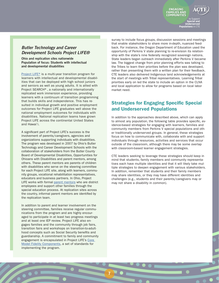#### <span id="page-8-0"></span>*Butler Technology and Career Development Schools Project LIFE®*

Ohio and replication sites nationwide Population of focus: Students with intellectual and developmental disabilities

[Project LIFE®](https://www.btprojectlife.org/) is a multi-year transition program for learners with intellectual and developmental disabilities that can be deployed with high school juniors and seniors as well as young adults. It is allied with Project SEARCH®, a nationally and internationally replicated work immersion experience, providing learners with a continuum of transition programming that builds skills and independence. This has resulted in individual growth and positive employment outcomes for Project LIFE graduates well above the national employment outcomes for individuals with disabilities. National replication teams have grown Project LIFE across the continental United States and Hawai'i.

A significant part of Project LIFE's success is the involvement of parents/caregivers, agencies and organizations supporting individuals with disabilities. The program was developed in 2007 by Ohio's Butler Technology and Career Development Schools with the collaboration of stakeholders from the Butler County Board of Developmental Disabilities, Opportunities for Ohioans with Disabilities and parent mentors, among others. These parent mentors are parents of children with disabilities who serve on the steering committee for each Project LIFE site, along with learners, community groups, vocational rehabilitation representatives, educators and business partners. In Ohio, Project LIFE works with formal [parent mentors](https://www.ocecd.org/Downloads/Parent%20Mentor%20Brochure%20-%203%202019.pdf) who are district employees and support other families through the special education process. At replication sites across the country, informal parent mentors are identified by the replication team.

In addition to parent and learner involvement on the steering committee, families receive regular communications from the program and are highly encouraged to participate in at least two progress meetings and at least one IEP review. Project LIFE also engages families and the community through job fairs, transition fairs and workshops on transition-to-adulthood concepts such as Social Security benefits and guardianship. A commitment to family and community engagement is encapsulated in Project LIFE's [Core](https://www.btprojectlife.org/wp-content/uploads/2019/08/Project-LIFE-Program-Replication-Info-Booklet-8-12-19.pdf)  [Model Fidelity Components,](https://www.btprojectlife.org/wp-content/uploads/2019/08/Project-LIFE-Program-Replication-Info-Booklet-8-12-19.pdf) a set of standards for implementing the program.

7

survey to include focus groups, discussion sessions and meetings that enable stakeholders to share more in-depth, nuanced feedback. For instance, the Oregon Department of Education used the opportunity of Perkins V state planning to re-envision its relationship with the state's nine federally recognized sovereign nations. State leaders began outreach immediately after Perkins V became law. The biggest change from prior planning efforts was talking to the Tribes to learn their priorities before the plan was developed, rather than presenting them with a written plan for their feedback. CTE leaders also delivered Indigenous land acknowledgements at the start of meetings with Tribal representatives. Learning Tribal priorities early on led the state to include an option in the CLNA and local application to allow for programs based on local labor market need.

**ENGAGING FAMILIES AND COMMUNITIES**

> to Support **Special and Underserved Populations** in CTE

#### Strategies for Engaging Specific Special and Underserved Populations

In addition to the approaches described above, which can apply to almost any population, the following table provides specific, evidence-based strategies for engaging with learners, families and community members from Perkins V special populations and other traditionally underserved groups. In general, these strategies focus on how to communicate with, collaborate with and support individuals through resources, activities and services that occur outside of the classroom, although there may be some overlap with classroom-based learner engagement strategies.

CTE leaders seeking to leverage these strategies should keep in mind that students, family members and community representatives each have multiple identities and that it will likely take multiple strategies to deepen engagement with various stakeholders. In addition, remember that students and their family members may share identities, or they may have different identities and challenges (e.g., students and their parents/caregivers may or may not share a disability in common).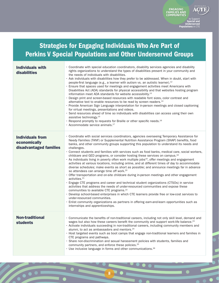Strategies for Engaging Individuals Who Are Part of Perkins V Special Populations and Other Underserved Groups

**ENGAGING FAMILIES AND COMMUNITIES**

> to Support **Special and Underserved**

**Populations** 

| <b>Individuals with</b><br>disabilities                           | · Coordinate with special education coordinators, disability services agencies and disability<br>rights organizations to understand the types of disabilities present in your community and<br>the needs of individuals with disabilities.<br>· Ask individuals with disabilities how they prefer to be addressed. When in doubt, start with<br>people-first language (e.g., a learner with autism vs. an autistic learner). <sup>12</sup><br>. Ensure that spaces used for meetings and engagement activities meet Americans with<br>Disabilities Act (ADA) standards for physical accessibility and that websites hosting program<br>information meet ADA standards for website accessibility. <sup>13</sup><br>· Design print and screen-based resources with readable font sizes, color contrast and<br>alternative text to enable resources to be read by screen readers. <sup>14</sup><br>· Provide American Sign Language interpretation for in-person meetings and closed captioning<br>for virtual meetings, presentations and videos.<br>· Send resources ahead of time so individuals with disabilities can access using their own<br>assistive technology. <sup>15</sup><br>• Respond promptly to requests for Braille or other specific needs. <sup>16</sup><br>· Accommodate service animals. <sup>17</sup>                                                                                                                                                                                         |
|-------------------------------------------------------------------|-------------------------------------------------------------------------------------------------------------------------------------------------------------------------------------------------------------------------------------------------------------------------------------------------------------------------------------------------------------------------------------------------------------------------------------------------------------------------------------------------------------------------------------------------------------------------------------------------------------------------------------------------------------------------------------------------------------------------------------------------------------------------------------------------------------------------------------------------------------------------------------------------------------------------------------------------------------------------------------------------------------------------------------------------------------------------------------------------------------------------------------------------------------------------------------------------------------------------------------------------------------------------------------------------------------------------------------------------------------------------------------------------------------------------------------------------------------------------------------------------------------------|
| <b>Individuals from</b><br>economically<br>disadvantaged families | · Coordinate with social services coordinators, agencies overseeing Temporary Assistance for<br>Needy Families (TANF) or Supplemental Nutrition Assistance Program (SNAP) benefits, food<br>banks, and other community groups supporting this population to understand its needs and<br>challenges.<br>· Connect students and families with services such as food banks, medical care, social workers,<br>childcare and GED programs, or consider hosting these services on campus. <sup>18</sup><br>· As individuals living in poverty often work multiple jobs <sup>19</sup> , offer meetings and engagement<br>activities at various locations, including online, and at different times of day to accommodate<br>diverse schedules; make events as short as possible; and announce meetings far in advance<br>so attendees can arrange time off work. <sup>20</sup><br>· Offer transportation and on-site childcare during in-person meetings and other engagement<br>activities. <sup>21</sup><br>· Engage CTE programs and career and technical student organizations (CTSOs) in service<br>activities that address the needs of under-resourced communities and expose these<br>communities to available CTE programs. <sup>22</sup><br>· Develop school-based enterprises in which CTE learners provide free or low-cost services to<br>under-resourced communities.<br>· Enlist community organizations as partners in offering earn-and-learn opportunities such as<br>internships and apprenticeships. |
| <b>Non-traditional</b><br><b>students</b>                         | · Communicate the benefits of non-traditional careers, including not only skill level, demand and<br>wages but also how these careers benefit the community and support work-life balance. <sup>23</sup><br>• Activate individuals succeeding in non-traditional careers, including community members and<br>alumni, to act as ambassadors and mentors. <sup>24</sup><br>• Host targeted events such as boot camps that engage non-traditional learners and families in<br>CTE programs and pathways.<br>· Share non-discrimination and sexual harassment policies with students, families and<br>community partners, and enforce these policies. <sup>25</sup><br>• Use inclusive language in forms and other communications. <sup>26</sup>                                                                                                                                                                                                                                                                                                                                                                                                                                                                                                                                                                                                                                                                                                                                                                      |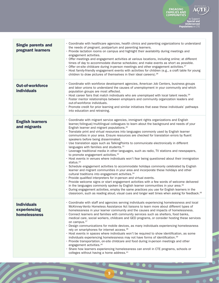

E

Z

 $\overline{\bullet}$ 

 $\blacksquare$ 

to Support **Special and Underserved Populations** in CTE

| <b>Single parents and</b><br>pregnant learners     | · Coordinate with healthcare agencies, health clinics and parenting organizations to understand<br>the needs of pregnant, postpartum and parenting learners.<br>· Provide lactation rooms on campus and highlight their availability during meetings and<br>engagement activities.<br>· Offer meetings and engagement activities at various locations, including online; at different<br>times of day to accommodate diverse schedules; and make events as short as possible.<br>$\cdot$ Offer on-site childcare during in-person meetings and other engagement activities. <sup>27</sup><br>· Host family-friendly engagement events with activities for children (e.g., a craft table for young<br>children to draw pictures of themselves in their ideal careers). <sup>28</sup>                                                                                                                                                                                                                                                                                                                                                                                                                                                                                                                                                                                                                                                                                                                                                                                                                                                                |
|----------------------------------------------------|----------------------------------------------------------------------------------------------------------------------------------------------------------------------------------------------------------------------------------------------------------------------------------------------------------------------------------------------------------------------------------------------------------------------------------------------------------------------------------------------------------------------------------------------------------------------------------------------------------------------------------------------------------------------------------------------------------------------------------------------------------------------------------------------------------------------------------------------------------------------------------------------------------------------------------------------------------------------------------------------------------------------------------------------------------------------------------------------------------------------------------------------------------------------------------------------------------------------------------------------------------------------------------------------------------------------------------------------------------------------------------------------------------------------------------------------------------------------------------------------------------------------------------------------------------------------------------------------------------------------------------------------------|
| <b>Out-of-workforce</b><br><b>individuals</b>      | • Coordinate with workforce development agencies, American Job Centers, business groups<br>and labor unions to understand the causes of unemployment in your community and which<br>population groups are most affected.<br>• Host career fairs that match individuals who are unemployed with local talent needs. <sup>29</sup><br>· Foster mentor relationships between employers and community organization leaders and<br>out-of-workforce individuals.<br>· Promote credit for prior learning and similar initiatives that ease these individuals' pathways<br>into education and retraining.                                                                                                                                                                                                                                                                                                                                                                                                                                                                                                                                                                                                                                                                                                                                                                                                                                                                                                                                                                                                                                                 |
| <b>English learners</b><br>and migrants            | · Coordinate with migrant service agencies, immigrant rights organizations and English<br>learner/bilingual/multilingual colleagues to learn about the background and needs of your<br>English learner and migrant populations. <sup>30</sup><br>· Translate print and virtual resources into languages commonly used by English learner<br>communities in your area. Ensure resources are checked for translation errors by fluent<br>speakers before being disseminated.<br>· Use translation apps such as TalkingPoints to communicate electronically in different<br>languages with families and students. <sup>31</sup><br>· Leverage traditional media in other languages, such as radio, TV stations and newspapers,<br>to promote engagement activities. <sup>32</sup><br>· Host events in venues where individuals won't fear being questioned about their immigration<br>status. <sup>33</sup><br>· Schedule engagement activities to accommodate holidays commonly celebrated by English<br>learner and migrant communities in your area and incorporate these holidays and other<br>cultural traditions into engagement activities. <sup>34</sup><br>· Provide qualified interpreters for in-person and virtual events.<br>· Provide welcome signs or start engagement activities with a few words of welcome delivered<br>in the languages commonly spoken by English learner communities in your area. <sup>35</sup><br>· During engagement activities, employ the same practices you use for English learners in the<br>classroom, such as reading aloud, visual cues and longer wait times when asking for feedback. <sup>36</sup> |
| <b>Individuals</b><br>experiencing<br>homelessness | · Coordinate with staff and agencies serving individuals experiencing homelessness and local<br>McKinney-Vento Homeless Assistance Act liaisons to learn more about different types of<br>homelessness in your learner community and the causes and impacts of homelessness.<br>· Connect learners and families with community services such as shelters, food banks,<br>medical care, social workers, childcare and GED programs, or consider hosting these services<br>on campus. <sup>37</sup><br>· Design communications for mobile devices, as many individuals experiencing homelessness<br>rely on smartphones for internet access. <sup>38</sup><br>· Host events in spaces where individuals won't be required to show identification, as some<br>individuals experiencing homelessness may not have forms of identification. <sup>39</sup><br>· Provide transportation, on-site childcare and food during in-person meetings and other<br>engagement activities. <sup>40</sup><br>· Share how learners experiencing homelessness can enroll in CTE programs, schools or<br>colleges without having a home address. <sup>41</sup>                                                                                                                                                                                                                                                                                                                                                                                                                                                                                                         |

90

 $\overline{\phantom{a}}$ 

 $\bullet$ 

 $\bullet$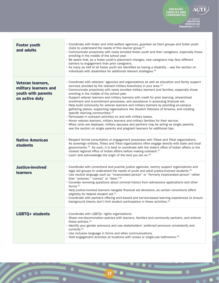

 $\overline{\bullet}$ 

 $\blacksquare$ 

to Support **Special and Underserved Populations** in CTE

| <b>Foster youth</b><br>and adults                                                  | • Coordinate with foster and child welfare agencies, guardian ad litem groups and foster youth<br>clubs to understand the needs of this learner group. <sup>42</sup><br>· Communicate proactively with newly enrolled foster youth and their caregivers, especially those<br>enrolling in the middle of the school year.<br>· Be aware that, as a foster youth's placement changes, new caregivers may face different<br>barriers to engagement than prior caregivers.<br>· As many as half of all foster youth are identified as having a disability - see the section on<br>individuals with disabilities for additional relevant strategies. <sup>43</sup>                                                                                                                                                                                                                                                                                                                                                                                                                                                |
|------------------------------------------------------------------------------------|--------------------------------------------------------------------------------------------------------------------------------------------------------------------------------------------------------------------------------------------------------------------------------------------------------------------------------------------------------------------------------------------------------------------------------------------------------------------------------------------------------------------------------------------------------------------------------------------------------------------------------------------------------------------------------------------------------------------------------------------------------------------------------------------------------------------------------------------------------------------------------------------------------------------------------------------------------------------------------------------------------------------------------------------------------------------------------------------------------------|
| Veteran learners,<br>military learners and<br>youth with parents<br>on active duty | · Coordinate with veterans' agencies and organizations as well as education and family support<br>services provided by the relevant military branch(es) in your area. <sup>44</sup><br>· Communicate proactively with newly enrolled military learners and families, especially those<br>enrolling in the middle of the school year.<br>· Support veteran learners and military learners with credit for prior learning, streamlined<br>enrollment and re-enrollment processes, and assistance in accessing financial aid.<br>• Help build community for veteran learners and military learners by providing on-campus<br>gathering places, supporting organizations like Student Veterans of America, and creating<br>specific learning communities. <sup>45</sup><br>· Participate in outreach activities on and with military bases.<br>· Honor veteran learners, military learners and military families for their service.<br>· When units are deployed, military spouses and partners may be acting as single parents;<br>see the section on single parents and pregnant learners for additional tips. |
| <b>Native American</b><br><b>students</b>                                          | · Respect formal consultation or engagement processes with Tribes and Tribal organizations.<br>As sovereign entities, Tribes and Tribal organizations often engage directly with state and local<br>governments. <sup>46</sup> As such, it is best to coordinate with the state's office of Indian affairs or the<br>closest regional office of Indian affairs before making outreach. <sup>47</sup><br>• Learn and acknowledge the origin of the land you are on. <sup>48</sup>                                                                                                                                                                                                                                                                                                                                                                                                                                                                                                                                                                                                                             |
| <b>Justice-involved</b><br><b>learners</b>                                         | · Coordinate with corrections and juvenile justice agencies, reentry support organizations and<br>legal aid groups to understand the needs of youth and adult justice-involved students. <sup>49</sup><br>· Use neutral language such as "incarcerated person" or "formerly incarcerated person" rather<br>than "prisoner," "convict" or "felon."50<br>· Consider removing questions about criminal history from admissions applications and other<br>forms. $51$<br>· Help justice-involved learners navigate financial aid decisions, as certain convictions affect<br>eligibility for federal student aid. <sup>52</sup><br>· Coordinate with partners offering work-based and service-based learning experiences to ensure<br>background checks don't limit student participation in these activities. <sup>53</sup>                                                                                                                                                                                                                                                                                     |
| <b>LGBTQ+ students</b>                                                             | · Coordinate with LGBTQ+ rights organizations.<br>· Share non-discrimination policies with learners, families and community partners, and enforce<br>these policies. <sup>54</sup><br>· Identify your gender pronouns and use stakeholders' preferred pronouns consistently and<br>correctly. <sup>55</sup><br>· Use inclusive language in forms and other communications.<br>• Hold engagement activities at locations with unisex or single-use bathrooms. <sup>56</sup>                                                                                                                                                                                                                                                                                                                                                                                                                                                                                                                                                                                                                                   |

10 0

 $\overline{\phantom{a}}$ 

10

 $\overline{\phantom{0}}$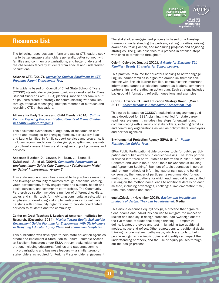## Resource List

The following resources can inform and assist CTE leaders seeking to better engage stakeholders generally, better connect with families and community organizations, and better understand the challenges faced by students from special and underserved populations.

#### Advance CTE. (2017). *[Increasing Student Enrollment in CTE](https://cte.careertech.org/sites/default/files/Value_Promise_Parent_Engagement_Strategy2017.pdf)  [Programs Parent Engagement Tool](https://cte.careertech.org/sites/default/files/Value_Promise_Parent_Engagement_Strategy2017.pdf)*.

This guide is based on Council of Chief State School Officers (CCSSO) stakeholder engagement guidance developed for Every Student Succeeds Act (ESSA) planning, modified for families. It helps users create a strategy for communicating with families through effective messaging, multiple methods of outreach and recruiting CTE ambassadors.

#### Alliance for Early Success and Child Trends. (2014). *[Culture](https://www.childtrends.org/?publications=culture-counts-engaging-black-and-latino-parents-of-young-children-in-family-support-programs-report)  [Counts: Engaging Black and Latino Parents of Young Children](https://www.childtrends.org/?publications=culture-counts-engaging-black-and-latino-parents-of-young-children-in-family-support-programs-report)  [in Family Support Programs](https://www.childtrends.org/?publications=culture-counts-engaging-black-and-latino-parents-of-young-children-in-family-support-programs-report)*.

This document synthesizes a large body of research on barriers to and strategies for engaging families, particularly Black and Latino families, in family support services and programs. It includes recommendations for designing, adapting and evaluating culturally relevant family and caregiver support programs and services.

#### Anderson-Butcher, D., Lawson, H., Bean, J., Boone, B., Kwiatkowski, A., et al. (2004). *[Community Partnerships](https://education.ohio.gov/getattachment/Topics/Other-Resources/Family-and-Community-Engagement/Models-for-Family-and-Community-Engagement/Community-Partnerships.pdf.aspx) in Implementation Guide: Ohio Community Collaboration Model for School Improvement, Version 2*.

This state resource describes a model to help schools maximize and leverage community resources through academic learning, youth development, family engagement and support, health and social services, and community partnerships. The Community Partnerships section includes a number of different checklists, tables and similar tools for mobilizing community assets, with an emphasis on developing and implementing more formal partnerships with community organizations to provide coordinated services to students and the community.

#### Center on Great Teachers & Leaders at American Institutes for Research. (December 2014). *[Moving Toward Equity Stakeholder](https://gtlcenter.org/learning-hub/equitable-access-toolkit/stakeholder-engagement-guide)  [Engagement Guide: Planning for Engagement With Stakeholders](https://gtlcenter.org/learning-hub/equitable-access-toolkit/stakeholder-engagement-guide)  [in Designing Educator Equity Plans](https://gtlcenter.org/learning-hub/equitable-access-toolkit/stakeholder-engagement-guide) and [companion templates](https://gtlcenter.org/learning-hub/equitable-access-toolkit/stakeholder-engagement-guide)*.

This publication was developed to help state education agencies create and implement a State Plan to Ensure Equitable Access to Excellent Educators under ESSA through stakeholder collaboration, including educators, families and students, community organizations and business leaders — a similar group of stakeholders as required for Perkins V stakeholder engagement.

11

The stakeholder engagement process is based on a five-step framework: understanding the problem, setting priorities, raising awareness, taking action, and measuring progress and adjusting strategies. The guide describes this process in detailed steps, with links to templates throughout.

#### Colorín Colorado. (August 2011). *[A Guide for Engaging ELL](https://www.colorincolorado.org/guide/guide-engaging-ell-families-twenty-strategies-school-leaders)  [Families: Twenty Strategies for School Leaders](https://www.colorincolorado.org/guide/guide-engaging-ell-families-twenty-strategies-school-leaders)*.

This practical resource for educators seeking to better engage English learner families is organized around six themes: connecting with English learner families, communicating important information, parent participation, parents as leaders, community partnerships and creating an action plan. Each strategy includes background information, reflection questions and examples.

#### CCSSO, Advance CTE and Education Strategy Group. (March 2017). *[Career Readiness Stakeholder Engagement Tool](https://careertech.org/resource/career-readiness-stakeholder-engagement-tool)*.

This guide is based on CCSSO's stakeholder engagement guidance developed for ESSA planning, modified for state career readiness systems. It includes nine steps for engaging and communicating with a variety of stakeholders, including families and community organizations as well as policymakers, employers and partner agencies.

#### Environmental Protection Agency (EPA). (N.d.). *[Public](https://www.epa.gov/international-cooperation/public-participation-guide-tools)  [Participation Guide: Tools](https://www.epa.gov/international-cooperation/public-participation-guide-tools)*.

EPA's Public Participation Guide provides tools for public participation and public outreach in decision-making. The Tools portion is divided into three parts: "Tools to Inform the Public," "Tools to Generate and Obtain Input" and "Tools for Consensus Building and Agreement-Seeking." Each set of tools addresses in-person and remote methods of informing, gathering input and building consensus; the number of participants recommended for each method; and the situations for which each method is best suited. Clicking on the method name leads to additional details on each method, including advantages, challenges, implementation time, resources needed and costs.

#### equityXdesign. (November 2016). *[Racism and inequity are](https://medium.com/equity-design/racism-and-inequity-are-products-of-design-they-can-be-redesigned-12188363cc6a)  [products of design. They can be redesigned](https://medium.com/equity-design/racism-and-inequity-are-products-of-design-they-can-be-redesigned-12188363cc6a)*. Medium.

This article describes equityXdesign, a practice that organizations, teams and individuals can use to mitigate the impact of racism and inequity in design practices. equityXdesign adapts the five modes of traditional design thinking — empathize, define, ideate, prototype and test — by adding two additional modes, notice and reflect. Other adaptations to traditional design thinking include meta-empathy maps, which are tools to help people recognize how implicit bias and identity can impact their understanding of others, and the use of equity pauses throughout the design process.



to Support **Special and Underserved Populations** in CTE

**ENGAGING FAMILIES AND COMMUNITIES**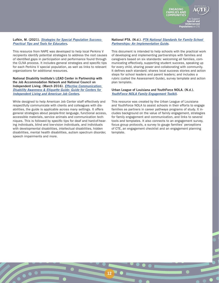#### Lufkin, M. (2021). *[Strategies for Special Population Success:](https://napequity.org/download-our-strategies-for-special-population-success-resource/)  [Practical Tips and Tools for Educators](https://napequity.org/download-our-strategies-for-special-population-success-resource/)*.

This resource from NAPE was developed to help local Perkins V recipients identify potential strategies to address the root causes of identified gaps in participation and performance found through the CLNA process. It includes general strategies and specific tips for each Perkins V special population, as well as links to relevant organizations for additional resources.

National Disability Institute's LEAD Center in Partnership with the Job Accommodation Network and National Council on Independent Living. (March 2016). *[Effective Communication:](http://www.leadcenter.org/system/files/resource/downloadable_version/CIL-LEAD-JAN-Effective-Communication-Guide-WIOA.pdf)  [Disability Awareness & Etiquette Guide: Guide for Centers for](http://www.leadcenter.org/system/files/resource/downloadable_version/CIL-LEAD-JAN-Effective-Communication-Guide-WIOA.pdf)  [Independent Living and American Job Centers](http://www.leadcenter.org/system/files/resource/downloadable_version/CIL-LEAD-JAN-Effective-Communication-Guide-WIOA.pdf)*.

While designed to help American Job Center staff effectively and respectfully communicate with clients and colleagues with disabilities, the guide is applicable across many settings. It offers general strategies about people-first language, functional access, accessible materials, service animals and communication techniques. This is followed by specific tips for deaf and hard-of-hearing individuals, blind and low-vision individuals, and individuals with developmental disabilities, intellectual disabilities, hidden disabilities, mental health disabilities, autism spectrum disorder, speech impairments and more.

#### National PTA. (N.d.). *[PTA National Standards for Family-School](https://www.pta.org/docs/default-source/files/runyourpta/national-standards/national_standards_implementation_guide.pdf)  [Partnerships: An Implementation Guide](https://www.pta.org/docs/default-source/files/runyourpta/national-standards/national_standards_implementation_guide.pdf)*.

This document is intended to help schools with the practical work of developing and implementing partnerships with families and caregivers based on six standards: welcoming all families, communicating effectively, supporting student success, speaking up for every child, sharing power and collaborating with community. It defines each standard; shares local success stories and action steps for school leaders and parent leaders; and includes a rubric (called the Assessment Guide), survey template and action plan template.

#### Urban League of Louisiana and YouthForce NOLA. (N.d.). *[YouthForce NOLA Family Engagement Toolkit](https://urbanleaguela.org/wp-content/uploads/2019/03/YFN-ULLA-Family-Engagement-Toolkit-2017.pdf)*.

12

This resource was created by the Urban League of Louisiana and YouthForce NOLA to assist schools in their efforts to engage families as partners in career pathways programs of study. It includes background on the value of family engagement, strategies for family engagement and communication, and links to several tools and templates. It also connects to an engagement survey, focus group protocols, a survey to gauge families' perceptions of CTE, an engagement checklist and an engagement planning template.

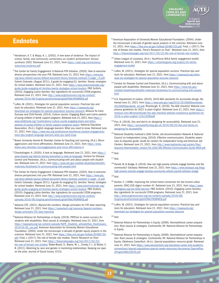### Endnotes

- <sup>1</sup>Henderson, A. T. & Mapp, K. L. (2002). *A new wave of evidence: The impact of school, family, and community connections on student achievement: Annual synthesis 2002*. Retrieved June 21, 2021, from [https://sedl.org/connections/](https://sedl.org/connections/resources/evidence.pdf) [resources/evidence.pdf](https://sedl.org/connections/resources/evidence.pdf)
- <sup>2</sup>The Center for Family Engagement: A National PTA Initiative. (2020). *How to welcome diverse perspectives into your PTA*. Retrieved June 21, 2021 from [https://www.pta.](https://www.pta.org/docs/default-source/default-document-library/diversity-outreach-2-pager_v3.pdf) [org/docs/default-source/default-document-library/diversity-outreach-2-pager\\_v3.pdf](https://www.pta.org/docs/default-source/default-document-library/diversity-outreach-2-pager_v3.pdf); Colorín Colorado. (August 2011). *A guide for engaging ELL families: Twenty strategies for school leaders*. Retrieved June 21, 2021, from [https://www.colorincolorado.org/](https://www.colorincolorado.org/guide/guide-engaging-ell-families-twenty-strategies-school-leaders) [guide/guide-engaging-ell-families-twenty-strategies-school-leaders](https://www.colorincolorado.org/guide/guide-engaging-ell-families-twenty-strategies-school-leaders); PBS SciGirls. (2010). *Engaging Latino families: Key ingredients for successful STEM programs*. Retrieved June 21, 2021, from [http://www.scigirlsconnect.org/wp-content/](http://www.scigirlsconnect.org/wp-content/uploads/2016/08/ScigirlsLatinoFamiliesEnglishFINALFROMWEB.pdf) [uploads/2016/08/ScigirlsLatinoFamiliesEnglishFINALFROMWEB.pdf](http://www.scigirlsconnect.org/wp-content/uploads/2016/08/ScigirlsLatinoFamiliesEnglishFINALFROMWEB.pdf)
- <sup>3</sup>Lufkin, M. (2021). *Strategies for special population success: Practical tips and tools for educators*. Retrieved June 21, 2021, from [https://napequity.org/](https://napequity.org/download-our-strategies-for-special-population-success-resource) [download-our-strategies-for-special-population-success-resource;](https://napequity.org/download-our-strategies-for-special-population-success-resource) Alliance for Early Success and Child Trends. (2014). *Culture counts: Engaging Black and Latino parents of young children in family support programs*. Retrieved June 21, 2021, from [Https://](https://www.childtrends.org/?publications=culture-counts-engaging-black-and-latino-parents-of-young-children-in-family-support-programs-report) [www.childtrends.org/?publications=culture-counts-engaging-black-and-latino](https://www.childtrends.org/?publications=culture-counts-engaging-black-and-latino-parents-of-young-children-in-family-support-programs-report)[parents-of-young-children-in-family-support-programs-report;](https://www.childtrends.org/?publications=culture-counts-engaging-black-and-latino-parents-of-young-children-in-family-support-programs-report) National Education Association. (N.d.). *English language learners: What you need to know*. Retrieved June 21, 2021, from [https://www.nea.org/professional-excellence/student-engagement/](https://www.nea.org/professional-excellence/student-engagement/tools-tips/english-language-learners-what-you-need-know) [tools-tips/english-language-learners-what-you-need-know](https://www.nea.org/professional-excellence/student-engagement/tools-tips/english-language-learners-what-you-need-know)
- <sup>4</sup>Brown University Harriet W. Sheridan Center for Teaching and Learning. (N.d.). *Microaggressions and micro-affirmations*. Retrieved June 21, 2021, from [https://www.](https://www.brown.edu/sheridan/microaggressions-and-micro-affirmations-0) [brown.edu/sheridan/microaggressions-and-micro-affirmations-0](https://www.brown.edu/sheridan/microaggressions-and-micro-affirmations-0)
- <sup>5</sup> Chockalingam, K. (2020). A look at language. Retrieved June 21, 2021, from [https://](https://www.cityyear.org/detroit/stories/education/a-look-at-language) [www.cityyear.org/detroit/stories/education/a-look-at-language](https://www.cityyear.org/detroit/stories/education/a-look-at-language); Centers for Disease Control and Prevention. (N.d.). *Communicating with and about people with disabilities*. Retrieved June 21, 2021, from [https://www.cdc.gov/ncbddd/disabilityandhealth/](https://www.cdc.gov/ncbddd/disabilityandhealth/materials/factsheets/fs-communicating-with-people.html) [materials/factsheets/fs-communicating-with-people.html](https://www.cdc.gov/ncbddd/disabilityandhealth/materials/factsheets/fs-communicating-with-people.html)
- <sup>6</sup>The Center for Family Engagement: A National PTA Initiative. (2020). *How to welcome diverse perspectives into your PTA*. Retrieved June 21, 2021, from [https://www.pta.](https://www.pta.org/docs/default-source/default-document-library/diversity-outreach-2-pager_v3.pdf) [org/docs/default-source/default-document-library/diversity-outreach-2-pager\\_v3.pdf](https://www.pta.org/docs/default-source/default-document-library/diversity-outreach-2-pager_v3.pdf); Colorín Colorado. (August 2011). *A guide for engaging ELL families: Twenty strategies for school leaders*. Retrieved June 21, 2021, from [https://www.colorincolorado.org/](https://www.colorincolorado.org/guide/guide-engaging-ell-families-twenty-strategies-school-leaders) [guide/guide-engaging-ell-families-twenty-strategies-school-leaders](https://www.colorincolorado.org/guide/guide-engaging-ell-families-twenty-strategies-school-leaders); PBS SciGirls. (2010). *Engaging Latino families: Key ingredients for successful STEM programs*. Retrieved June 21, 2021, from [http://www.scigirlsconnect.org/wp-content/](http://www.scigirlsconnect.org/wp-content/uploads/2016/08/ScigirlsLatinoFamiliesEnglishFINALFROMWEB.pdf) [uploads/2016/08/ScigirlsLatinoFamiliesEnglishFINALFROMWEB.pdf](http://www.scigirlsconnect.org/wp-content/uploads/2016/08/ScigirlsLatinoFamiliesEnglishFINALFROMWEB.pdf)
- <sup>7</sup>Advance CTE. (2021). *Beyond the numbers: Design principles for CTE data reporting*. Retrieved June 21, 2021, from [https://careertech.org/resource/beyond-numbers](https://careertech.org/resource/beyond-numbers-design-principles-CTE-data-reporting)[design-principles-CTE-data-reporting](https://careertech.org/resource/beyond-numbers-design-principles-CTE-data-reporting)
- <sup>8</sup>National Alliance for Partnerships in Equity. (2019). *PIPEline to career success for students with disabilities: Root causes & strategies*. Retrieved June 21, 2021, from [https://napequity.org/wp-content/uploads/NAPE\\_Students\\_wDisabilities\\_RootCauses\\_](https://napequity.org/wp-content/uploads/NAPE_Students_wDisabilities_RootCauses_2019-04-05_cac.pdf) [2019-04-05\\_cac.pdf](https://napequity.org/wp-content/uploads/NAPE_Students_wDisabilities_RootCauses_2019-04-05_cac.pdf); American Association for University Women Educational Foundation. (2004). *Under the microscope: A decade of gender equity projects in the sciences*. Retrieved June 21, 2021, from [https://files.eric.ed.gov/fulltext/ED485720.](https://files.eric.ed.gov/fulltext/ED485720.pdf) [pdf;](https://files.eric.ed.gov/fulltext/ED485720.pdf) Frost, J. (2017). The role of female role models. *There's Research on That!* Retrieved June 21, 2021, from [https://thesocietypages.org/trot/2017/02/22/](https://thesocietypages.org/trot/2017/02/22/the-role-of-female-role-models/) [the-role-of-female-role-models;](https://thesocietypages.org/trot/2017/02/22/the-role-of-female-role-models/) Blake-Beard, S., Bayne, M. L., Crosby, F. J., & Muller, C. B. (2011). Matching by race and gender in mentoring relationships: Keeping our eyes on the prize. *Journal of Social Issues, 67*(3).

<sup>9</sup>American Association of University Women Educational Foundation. (2004). *Under the microscope: A decade of gender equity projects in the sciences*. Retrieved June 21, 2021, from<https://files.eric.ed.gov/fulltext/ED485720.pdf>; Frost, J. (2017). The role of female role models. *There's Research on That!* Retrieved June 21, 2021, from <https://thesocietypages.org/trot/2017/02/22/the-role-of-female-role-models/>

**ENGAGING FAMILIES AND COMMUNITIES**

> to Support **Special and Underserved Populations** in CTE

- <sup>10</sup> Urban League of Louisiana. (N.d.). *YouthForce NOLA family engagement toolkit*. Retrieved June 21, 2021, from [https://urbanleaguela.org/project/yfn-family](https://urbanleaguela.org/project/yfn-family-engagement-toolkit/)[engagement-toolkit](https://urbanleaguela.org/project/yfn-family-engagement-toolkit/)
- <sup>11</sup> Lufkin, M. (2021). *Strategies for special population success: Practical tips and tools for educators*. Retrieved June 21, 2021, from [https://napequity.org/down](https://napequity.org/download-our-strategies-for-special-population-success-resource)[load-our-strategies-for-special-population-success-resource](https://napequity.org/download-our-strategies-for-special-population-success-resource)
- <sup>12</sup> Centers for Disease Control and Prevention. (N.d.). *Communicating with and about people with disabilities*. Retrieved June 21, 2021, from [https://www.cdc.gov/](https://www.cdc.gov/ncbddd/disabilityandhealth/materials/factsheets/fs-communicating-with-people.html) [ncbddd/disabilityandhealth/materials/factsheets/fs-communicating-with-people.](https://www.cdc.gov/ncbddd/disabilityandhealth/materials/factsheets/fs-communicating-with-people.html) [html](https://www.cdc.gov/ncbddd/disabilityandhealth/materials/factsheets/fs-communicating-with-people.html)
- <sup>13</sup>U.S. Department of Justice. (2010). *2010 ADA standards for accessible design*. Retrieved June 21, 2021, from [https://www.ada.gov/regs2010/2010ADAStandards/](https://www.ada.gov/regs2010/2010ADAStandards/2010ADAStandards_prt.pdf) [2010ADAStandards\\_prt.pdf;](https://www.ada.gov/regs2010/2010ADAStandards/2010ADAStandards_prt.pdf) Rivenburgh, K. (2018). *The ADA checklist: Website compliance guidelines for 2021 in plain English*. Retrieved June 21, 2021, from [https://](https://krisrivenburgh.medium.com/the-ada-checklist-website-compliance-guidelines-for-2019-in-plain-english-123c1d58fad9) [medium.com/@krisrivenburgh/the-ada-checklist-website-compliance-guidelines-for-](https://krisrivenburgh.medium.com/the-ada-checklist-website-compliance-guidelines-for-2019-in-plain-english-123c1d58fad9)[2019-in-plain-english-123c1d58fad9](https://krisrivenburgh.medium.com/the-ada-checklist-website-compliance-guidelines-for-2019-in-plain-english-123c1d58fad9)
- <sup>14</sup> Pun, K. (2016). *Dos and don'ts on designing for accessibility*. Retrieved June 21, 2021, from [https://accessibility.blog.gov.uk/2016/09/02/dos-and-donts-on](https://accessibility.blog.gov.uk/2016/09/02/dos-and-donts-on-designing-for-accessibility/)[designing-for-accessibility](https://accessibility.blog.gov.uk/2016/09/02/dos-and-donts-on-designing-for-accessibility/)
- <sup>15</sup> National Disability Institute's LEAD Center, Job Accommodation Network & National Council on Independent Living. (2016). *Effective communication: Disability awareness & etiquette guide: Guide for centers for independent living and American Job Centers*. Retrieved June 21, 2021, from [http://www.leadcenter.org/system/files/](http://www.leadcenter.org/system/files/resource/downloadable_version/CIL-LEAD-JAN-Effective-Communication-Guide-WIOA.pdf) [resource/downloadable\\_version/CIL-LEAD-JAN-Effective-Communication-Guide-WIOA.pdf](http://www.leadcenter.org/system/files/resource/downloadable_version/CIL-LEAD-JAN-Effective-Communication-Guide-WIOA.pdf)

 $16$  Ibid.

 $17$  Ibid.

 $18$  Parrett, W. & Budge, K. (2016). How can high-poverty schools engage families and the community? *Edutopia*. Retrieved June 21, 2021, from [https://www.edutopia.org/blog/](https://www.edutopia.org/blog/high-poverty-schools-engage-families-community-william-parrett-kathleen-budge) [high-poverty-schools-engage-families-community-william-parrett-kathleen-budge](https://www.edutopia.org/blog/high-poverty-schools-engage-families-community-william-parrett-kathleen-budge)

 $19$  Ibid.

- <sup>20</sup> Ascher, C. (1988). *Improving the school-home connection for low-income urban parents: ERIC/CUE digest number 41*. Retrieved June 21, 2021, from [https://www.](https://www.ericdigests.org/pre-928/low.htm) [ericdigests.org/pre-928/low.htm;](https://www.ericdigests.org/pre-928/low.htm) PBS SciGirls. (2010). *Engaging Latino families: Key ingredients for successful STEM programs*. Retrieved June 21, 2021, from [http://www.scigirlsconnect.org/wp-content/uploads/2016/08/](http://www.scigirlsconnect.org/wp-content/uploads/2016/08/ScigirlsLatinoFamiliesEnglishFINALFROMWEB.pdf) [ScigirlsLatinoFamiliesEnglishFINALFROMWEB.pdf](http://www.scigirlsconnect.org/wp-content/uploads/2016/08/ScigirlsLatinoFamiliesEnglishFINALFROMWEB.pdf)
- <sup>21</sup>Lufkin, M. (2021). *Strategies for special population success: Practical tips and tools for educators*. Retrieved June 21, 2021, from [https://napequity.org/](https://napequity.org/download-our-strategies-for-special-population-success-resource) [download-our-strategies-for-special-population-success-resource](https://napequity.org/download-our-strategies-for-special-population-success-resource)

 $22$  Ibid.

- <sup>23</sup> National Alliance for Partnerships in Equity. (2009). Nontraditional career prepara*tion: Root causes & strategies*. Cochranville, PA: National Alliance for Partnerships in Equity.
- <sup>24</sup> National Alliance for Partnerships in Equity. (2009). *Nontraditional career preparation: Root causes & strategies*. Cochranville, PA: National Alliance for Partnerships in Equity; Oklahoma CareerTech. (N.d.). *Special populations resource guide*. Retrieved June 21, 2021, from [https://www.okcareertech.org/educators/career-and-academic](https://www.okcareertech.org/educators/career-and-academic-connections/special-populations-special-needs/dams-special-populations-special-needs-resources/SpecialPopsProgramWeb18240.pdf)[connections/special-populations-special-needs-resources/documents/SpecialPop](https://www.okcareertech.org/educators/career-and-academic-connections/special-populations-special-needs/dams-special-populations-special-needs-resources/SpecialPopsProgramWeb18240.pdf)[sProgramWeb18240.pdf](https://www.okcareertech.org/educators/career-and-academic-connections/special-populations-special-needs/dams-special-populations-special-needs-resources/SpecialPopsProgramWeb18240.pdf)